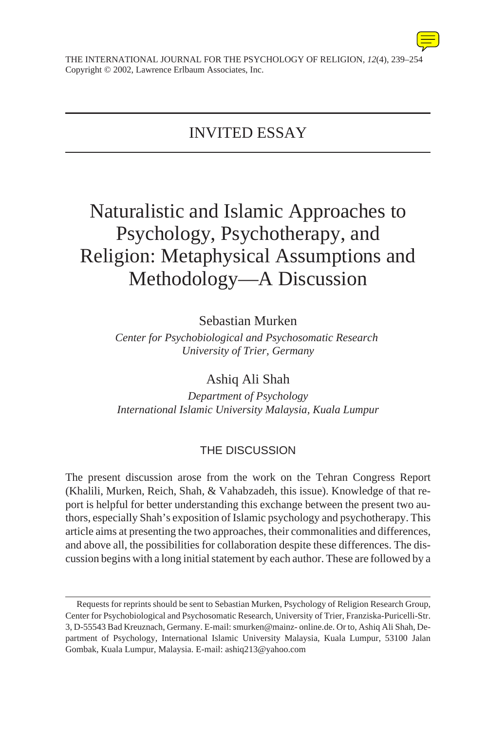THE INTERNATIONAL JOURNAL FOR THE PSYCHOLOGY OF RELIGION, *12*(4), 239–254 Copyright © 2002, Lawrence Erlbaum Associates, Inc.

# INVITED ESSAY

# Naturalistic and Islamic Approaches to Psychology, Psychotherapy, and Religion: Metaphysical Assumptions and Methodology—A Discussion

Sebastian Murken *Center for Psychobiological and Psychosomatic Research University of Trier, Germany*

Ashiq Ali Shah

*Department of Psychology International Islamic University Malaysia, Kuala Lumpur*

# THE DISCUSSION

The present discussion arose from the work on the Tehran Congress Report (Khalili, Murken, Reich, Shah, & Vahabzadeh, this issue). Knowledge of that report is helpful for better understanding this exchange between the present two authors, especially Shah's exposition of Islamic psychology and psychotherapy. This article aims at presenting the two approaches, their commonalities and differences, and above all, the possibilities for collaboration despite these differences. The discussion begins with a long initial statement by each author. These are followed by a

Requests for reprints should be sent to Sebastian Murken, Psychology of Religion Research Group, Center for Psychobiological and Psychosomatic Research, University of Trier, Franziska-Puricelli-Str. 3, D-55543 Bad Kreuznach, Germany. E-mail: smurken@mainz- online.de. Or to, Ashiq Ali Shah, Department of Psychology, International Islamic University Malaysia, Kuala Lumpur, 53100 Jalan Gombak, Kuala Lumpur, Malaysia. E-mail: ashiq213@yahoo.com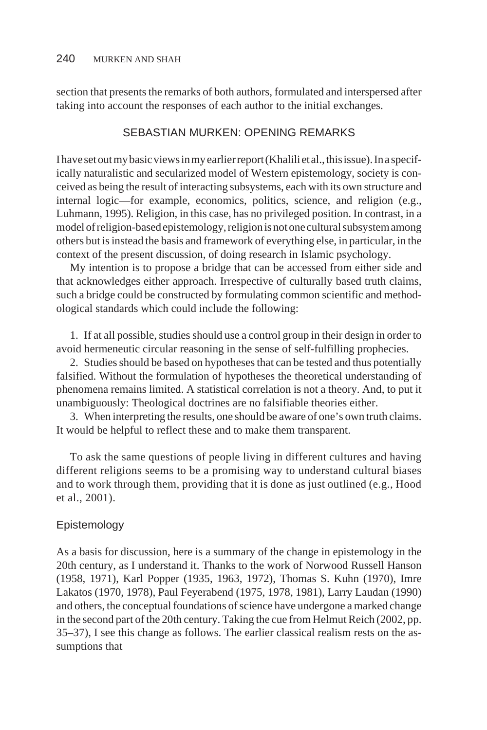section that presents the remarks of both authors, formulated and interspersed after taking into account the responses of each author to the initial exchanges.

# SEBASTIAN MURKEN: OPENING REMARKS

Ihavesetoutmybasicviewsinmyearlierreport(Khalilietal.,thisissue).Inaspecifically naturalistic and secularized model of Western epistemology, society is conceived as being the result of interacting subsystems, each with its own structure and internal logic—for example, economics, politics, science, and religion (e.g., Luhmann, 1995). Religion, in this case, has no privileged position. In contrast, in a model of religion-based epistemology, religion is not one cultural subsystem among others but is instead the basis and framework of everything else, in particular, in the context of the present discussion, of doing research in Islamic psychology.

My intention is to propose a bridge that can be accessed from either side and that acknowledges either approach. Irrespective of culturally based truth claims, such a bridge could be constructed by formulating common scientific and methodological standards which could include the following:

1. If at all possible, studies should use a control group in their design in order to avoid hermeneutic circular reasoning in the sense of self-fulfilling prophecies.

2. Studies should be based on hypotheses that can be tested and thus potentially falsified. Without the formulation of hypotheses the theoretical understanding of phenomena remains limited. A statistical correlation is not a theory. And, to put it unambiguously: Theological doctrines are no falsifiable theories either.

3. When interpreting the results, one should be aware of one's own truth claims. It would be helpful to reflect these and to make them transparent.

To ask the same questions of people living in different cultures and having different religions seems to be a promising way to understand cultural biases and to work through them, providing that it is done as just outlined (e.g., Hood et al., 2001).

# Epistemology

As a basis for discussion, here is a summary of the change in epistemology in the 20th century, as I understand it. Thanks to the work of Norwood Russell Hanson (1958, 1971), Karl Popper (1935, 1963, 1972), Thomas S. Kuhn (1970), Imre Lakatos (1970, 1978), Paul Feyerabend (1975, 1978, 1981), Larry Laudan (1990) and others, the conceptual foundations of science have undergone a marked change in the second part of the 20th century. Taking the cue from Helmut Reich (2002, pp. 35–37), I see this change as follows. The earlier classical realism rests on the assumptions that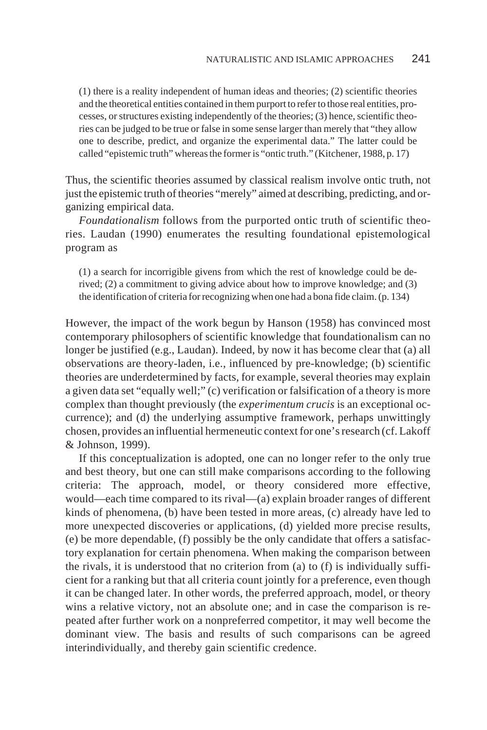(1) there is a reality independent of human ideas and theories; (2) scientific theories and the theoretical entities contained in them purport to refer to those real entities, processes, or structures existing independently of the theories; (3) hence, scientific theories can be judged to be true or false in some sense larger than merely that "they allow one to describe, predict, and organize the experimental data." The latter could be called "epistemic truth" whereas the former is "ontic truth." (Kitchener, 1988, p. 17)

Thus, the scientific theories assumed by classical realism involve ontic truth, not just the epistemic truth of theories "merely" aimed at describing, predicting, and organizing empirical data.

*Foundationalism* follows from the purported ontic truth of scientific theories. Laudan (1990) enumerates the resulting foundational epistemological program as

(1) a search for incorrigible givens from which the rest of knowledge could be derived; (2) a commitment to giving advice about how to improve knowledge; and (3) the identification of criteria for recognizing when one had a bona fide claim. (p. 134)

However, the impact of the work begun by Hanson (1958) has convinced most contemporary philosophers of scientific knowledge that foundationalism can no longer be justified (e.g., Laudan). Indeed, by now it has become clear that (a) all observations are theory-laden, i.e., influenced by pre-knowledge; (b) scientific theories are underdetermined by facts, for example, several theories may explain a given data set "equally well;" (c) verification or falsification of a theory is more complex than thought previously (the *experimentum crucis* is an exceptional occurrence); and (d) the underlying assumptive framework, perhaps unwittingly chosen, provides an influential hermeneutic context for one's research (cf. Lakoff & Johnson, 1999).

If this conceptualization is adopted, one can no longer refer to the only true and best theory, but one can still make comparisons according to the following criteria: The approach, model, or theory considered more effective, would—each time compared to its rival—(a) explain broader ranges of different kinds of phenomena, (b) have been tested in more areas, (c) already have led to more unexpected discoveries or applications, (d) yielded more precise results, (e) be more dependable, (f) possibly be the only candidate that offers a satisfactory explanation for certain phenomena. When making the comparison between the rivals, it is understood that no criterion from (a) to (f) is individually sufficient for a ranking but that all criteria count jointly for a preference, even though it can be changed later. In other words, the preferred approach, model, or theory wins a relative victory, not an absolute one; and in case the comparison is repeated after further work on a nonpreferred competitor, it may well become the dominant view. The basis and results of such comparisons can be agreed interindividually, and thereby gain scientific credence.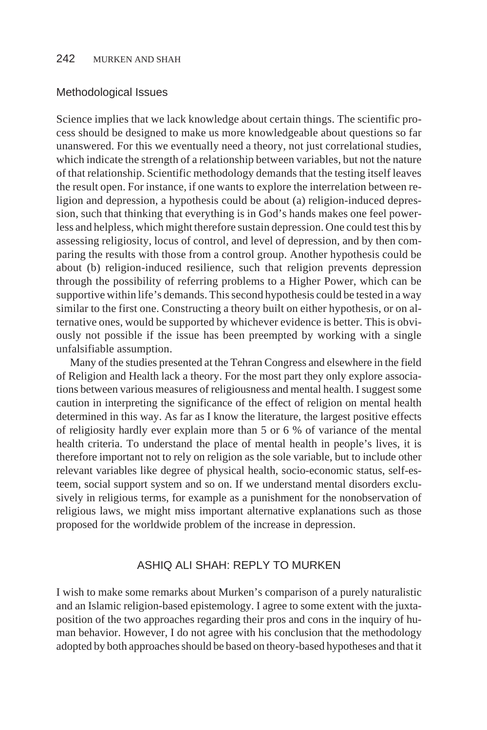#### Methodological Issues

Science implies that we lack knowledge about certain things. The scientific process should be designed to make us more knowledgeable about questions so far unanswered. For this we eventually need a theory, not just correlational studies, which indicate the strength of a relationship between variables, but not the nature of that relationship. Scientific methodology demands that the testing itself leaves the result open. For instance, if one wants to explore the interrelation between religion and depression, a hypothesis could be about (a) religion-induced depression, such that thinking that everything is in God's hands makes one feel powerless and helpless, which might therefore sustain depression. One could test this by assessing religiosity, locus of control, and level of depression, and by then comparing the results with those from a control group. Another hypothesis could be about (b) religion-induced resilience, such that religion prevents depression through the possibility of referring problems to a Higher Power, which can be supportive within life's demands. This second hypothesis could be tested in a way similar to the first one. Constructing a theory built on either hypothesis, or on alternative ones, would be supported by whichever evidence is better. This is obviously not possible if the issue has been preempted by working with a single unfalsifiable assumption.

Many of the studies presented at the Tehran Congress and elsewhere in the field of Religion and Health lack a theory. For the most part they only explore associations between various measures of religiousness and mental health. I suggest some caution in interpreting the significance of the effect of religion on mental health determined in this way. As far as I know the literature, the largest positive effects of religiosity hardly ever explain more than 5 or 6 % of variance of the mental health criteria. To understand the place of mental health in people's lives, it is therefore important not to rely on religion as the sole variable, but to include other relevant variables like degree of physical health, socio-economic status, self-esteem, social support system and so on. If we understand mental disorders exclusively in religious terms, for example as a punishment for the nonobservation of religious laws, we might miss important alternative explanations such as those proposed for the worldwide problem of the increase in depression.

#### ASHIQ ALI SHAH: REPLY TO MURKEN

I wish to make some remarks about Murken's comparison of a purely naturalistic and an Islamic religion-based epistemology. I agree to some extent with the juxtaposition of the two approaches regarding their pros and cons in the inquiry of human behavior. However, I do not agree with his conclusion that the methodology adopted by both approaches should be based on theory-based hypotheses and that it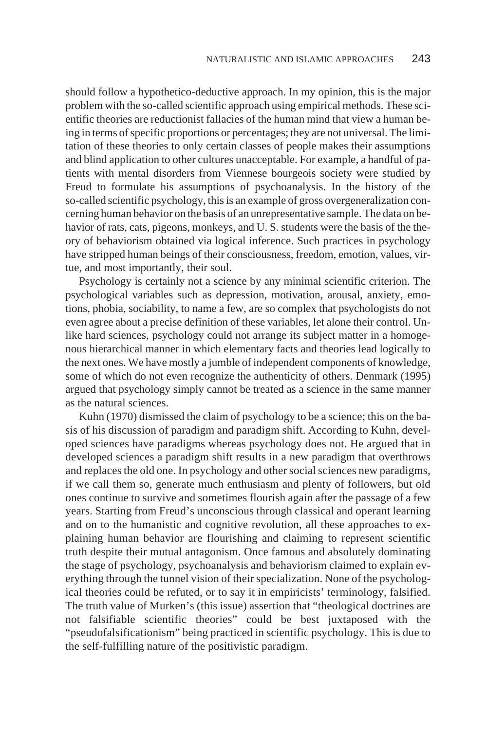should follow a hypothetico-deductive approach. In my opinion, this is the major problem with the so-called scientific approach using empirical methods. These scientific theories are reductionist fallacies of the human mind that view a human being in terms of specific proportions or percentages; they are not universal. The limitation of these theories to only certain classes of people makes their assumptions and blind application to other cultures unacceptable. For example, a handful of patients with mental disorders from Viennese bourgeois society were studied by Freud to formulate his assumptions of psychoanalysis. In the history of the so-called scientific psychology, this is an example of gross overgeneralization concerning human behavior on the basis of an unrepresentative sample. The data on behavior of rats, cats, pigeons, monkeys, and U. S. students were the basis of the theory of behaviorism obtained via logical inference. Such practices in psychology have stripped human beings of their consciousness, freedom, emotion, values, virtue, and most importantly, their soul.

Psychology is certainly not a science by any minimal scientific criterion. The psychological variables such as depression, motivation, arousal, anxiety, emotions, phobia, sociability, to name a few, are so complex that psychologists do not even agree about a precise definition of these variables, let alone their control. Unlike hard sciences, psychology could not arrange its subject matter in a homogenous hierarchical manner in which elementary facts and theories lead logically to the next ones. We have mostly a jumble of independent components of knowledge, some of which do not even recognize the authenticity of others. Denmark (1995) argued that psychology simply cannot be treated as a science in the same manner as the natural sciences.

Kuhn (1970) dismissed the claim of psychology to be a science; this on the basis of his discussion of paradigm and paradigm shift. According to Kuhn, developed sciences have paradigms whereas psychology does not. He argued that in developed sciences a paradigm shift results in a new paradigm that overthrows and replaces the old one. In psychology and other social sciences new paradigms, if we call them so, generate much enthusiasm and plenty of followers, but old ones continue to survive and sometimes flourish again after the passage of a few years. Starting from Freud's unconscious through classical and operant learning and on to the humanistic and cognitive revolution, all these approaches to explaining human behavior are flourishing and claiming to represent scientific truth despite their mutual antagonism. Once famous and absolutely dominating the stage of psychology, psychoanalysis and behaviorism claimed to explain everything through the tunnel vision of their specialization. None of the psychological theories could be refuted, or to say it in empiricists' terminology, falsified. The truth value of Murken's (this issue) assertion that "theological doctrines are not falsifiable scientific theories" could be best juxtaposed with the "pseudofalsificationism" being practiced in scientific psychology. This is due to the self-fulfilling nature of the positivistic paradigm.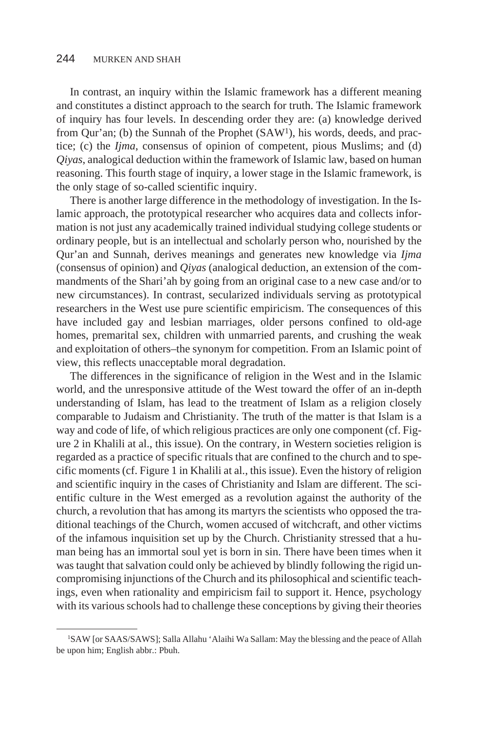#### 244 MURKEN AND SHAH

In contrast, an inquiry within the Islamic framework has a different meaning and constitutes a distinct approach to the search for truth. The Islamic framework of inquiry has four levels. In descending order they are: (a) knowledge derived from Qur'an; (b) the Sunnah of the Prophet (SAW1), his words, deeds, and practice; (c) the *Ijma*, consensus of opinion of competent, pious Muslims; and (d) *Qiyas*, analogical deduction within the framework of Islamic law, based on human reasoning. This fourth stage of inquiry, a lower stage in the Islamic framework, is the only stage of so-called scientific inquiry.

There is another large difference in the methodology of investigation. In the Islamic approach, the prototypical researcher who acquires data and collects information is not just any academically trained individual studying college students or ordinary people, but is an intellectual and scholarly person who, nourished by the Qur'an and Sunnah, derives meanings and generates new knowledge via *Ijma* (consensus of opinion) and *Qiyas* (analogical deduction, an extension of the commandments of the Shari'ah by going from an original case to a new case and/or to new circumstances). In contrast, secularized individuals serving as prototypical researchers in the West use pure scientific empiricism. The consequences of this have included gay and lesbian marriages, older persons confined to old-age homes, premarital sex, children with unmarried parents, and crushing the weak and exploitation of others–the synonym for competition. From an Islamic point of view, this reflects unacceptable moral degradation.

The differences in the significance of religion in the West and in the Islamic world, and the unresponsive attitude of the West toward the offer of an in-depth understanding of Islam, has lead to the treatment of Islam as a religion closely comparable to Judaism and Christianity. The truth of the matter is that Islam is a way and code of life, of which religious practices are only one component (cf. Figure 2 in Khalili at al., this issue). On the contrary, in Western societies religion is regarded as a practice of specific rituals that are confined to the church and to specific moments (cf. Figure 1 in Khalili at al., this issue). Even the history of religion and scientific inquiry in the cases of Christianity and Islam are different. The scientific culture in the West emerged as a revolution against the authority of the church, a revolution that has among its martyrs the scientists who opposed the traditional teachings of the Church, women accused of witchcraft, and other victims of the infamous inquisition set up by the Church. Christianity stressed that a human being has an immortal soul yet is born in sin. There have been times when it was taught that salvation could only be achieved by blindly following the rigid uncompromising injunctions of the Church and its philosophical and scientific teachings, even when rationality and empiricism fail to support it. Hence, psychology with its various schools had to challenge these conceptions by giving their theories

<sup>1</sup>SAW [or SAAS/SAWS]; Salla Allahu 'Alaihi Wa Sallam: May the blessing and the peace of Allah be upon him; English abbr.: Pbuh.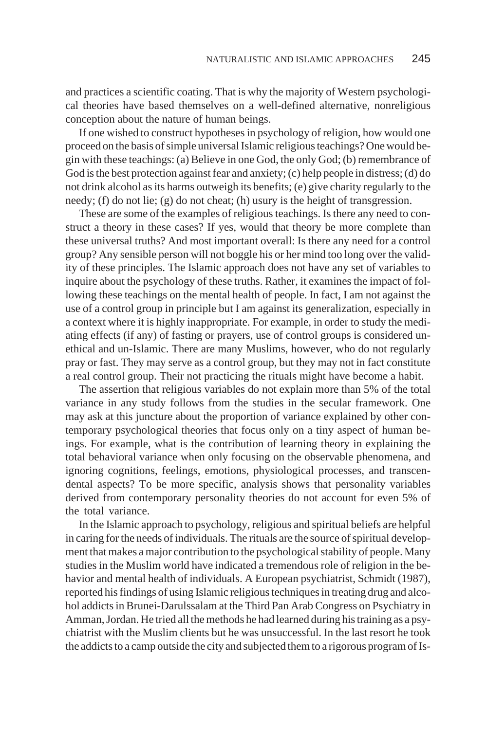and practices a scientific coating. That is why the majority of Western psychological theories have based themselves on a well-defined alternative, nonreligious conception about the nature of human beings.

If one wished to construct hypotheses in psychology of religion, how would one proceed on the basis of simple universal Islamic religious teachings? One would begin with these teachings: (a) Believe in one God, the only God; (b) remembrance of God is the best protection against fear and anxiety; (c) help people in distress; (d) do not drink alcohol as its harms outweigh its benefits; (e) give charity regularly to the needy; (f) do not lie; (g) do not cheat; (h) usury is the height of transgression.

These are some of the examples of religious teachings. Is there any need to construct a theory in these cases? If yes, would that theory be more complete than these universal truths? And most important overall: Is there any need for a control group? Any sensible person will not boggle his or her mind too long over the validity of these principles. The Islamic approach does not have any set of variables to inquire about the psychology of these truths. Rather, it examines the impact of following these teachings on the mental health of people. In fact, I am not against the use of a control group in principle but I am against its generalization, especially in a context where it is highly inappropriate. For example, in order to study the mediating effects (if any) of fasting or prayers, use of control groups is considered unethical and un-Islamic. There are many Muslims, however, who do not regularly pray or fast. They may serve as a control group, but they may not in fact constitute a real control group. Their not practicing the rituals might have become a habit.

The assertion that religious variables do not explain more than 5% of the total variance in any study follows from the studies in the secular framework. One may ask at this juncture about the proportion of variance explained by other contemporary psychological theories that focus only on a tiny aspect of human beings. For example, what is the contribution of learning theory in explaining the total behavioral variance when only focusing on the observable phenomena, and ignoring cognitions, feelings, emotions, physiological processes, and transcendental aspects? To be more specific, analysis shows that personality variables derived from contemporary personality theories do not account for even 5% of the total variance.

In the Islamic approach to psychology, religious and spiritual beliefs are helpful in caring for the needs of individuals. The rituals are the source of spiritual development that makes a major contribution to the psychological stability of people. Many studies in the Muslim world have indicated a tremendous role of religion in the behavior and mental health of individuals. A European psychiatrist, Schmidt (1987), reported his findings of using Islamic religious techniques in treating drug and alcohol addicts in Brunei-Darulssalam at the Third Pan Arab Congress on Psychiatry in Amman, Jordan. He tried all the methods he had learned during his training as a psychiatrist with the Muslim clients but he was unsuccessful. In the last resort he took the addicts to a camp outside the city and subjected them to a rigorous program of Is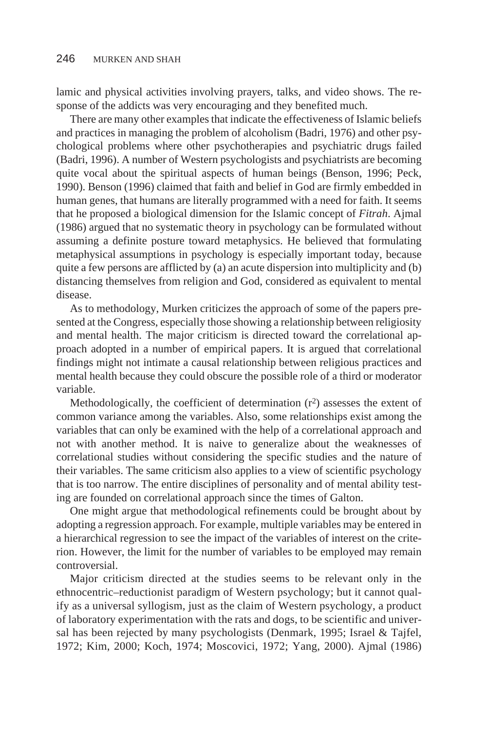lamic and physical activities involving prayers, talks, and video shows. The response of the addicts was very encouraging and they benefited much.

There are many other examples that indicate the effectiveness of Islamic beliefs and practices in managing the problem of alcoholism (Badri, 1976) and other psychological problems where other psychotherapies and psychiatric drugs failed (Badri, 1996). A number of Western psychologists and psychiatrists are becoming quite vocal about the spiritual aspects of human beings (Benson, 1996; Peck, 1990). Benson (1996) claimed that faith and belief in God are firmly embedded in human genes, that humans are literally programmed with a need for faith. It seems that he proposed a biological dimension for the Islamic concept of *Fitrah*. Ajmal (1986) argued that no systematic theory in psychology can be formulated without assuming a definite posture toward metaphysics. He believed that formulating metaphysical assumptions in psychology is especially important today, because quite a few persons are afflicted by (a) an acute dispersion into multiplicity and  $(b)$ distancing themselves from religion and God, considered as equivalent to mental disease.

As to methodology, Murken criticizes the approach of some of the papers presented at the Congress, especially those showing a relationship between religiosity and mental health. The major criticism is directed toward the correlational approach adopted in a number of empirical papers. It is argued that correlational findings might not intimate a causal relationship between religious practices and mental health because they could obscure the possible role of a third or moderator variable.

Methodologically, the coefficient of determination  $(r^2)$  assesses the extent of common variance among the variables. Also, some relationships exist among the variables that can only be examined with the help of a correlational approach and not with another method. It is naive to generalize about the weaknesses of correlational studies without considering the specific studies and the nature of their variables. The same criticism also applies to a view of scientific psychology that is too narrow. The entire disciplines of personality and of mental ability testing are founded on correlational approach since the times of Galton.

One might argue that methodological refinements could be brought about by adopting a regression approach. For example, multiple variables may be entered in a hierarchical regression to see the impact of the variables of interest on the criterion. However, the limit for the number of variables to be employed may remain controversial.

Major criticism directed at the studies seems to be relevant only in the ethnocentric–reductionist paradigm of Western psychology; but it cannot qualify as a universal syllogism, just as the claim of Western psychology, a product of laboratory experimentation with the rats and dogs, to be scientific and universal has been rejected by many psychologists (Denmark, 1995; Israel & Tajfel, 1972; Kim, 2000; Koch, 1974; Moscovici, 1972; Yang, 2000). Ajmal (1986)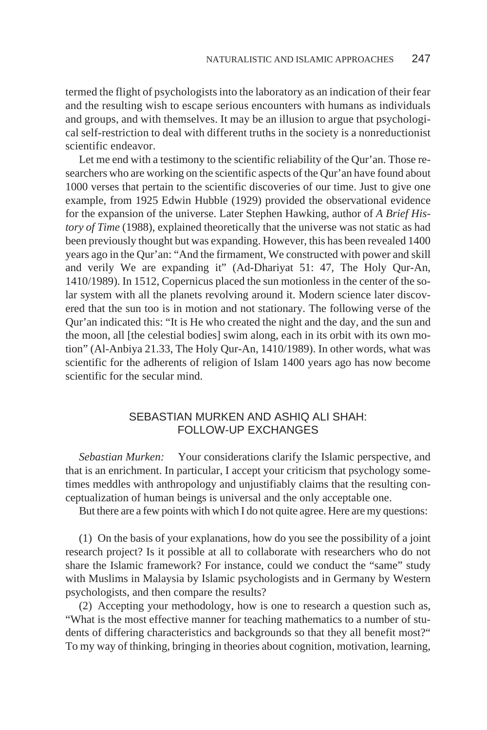termed the flight of psychologists into the laboratory as an indication of their fear and the resulting wish to escape serious encounters with humans as individuals and groups, and with themselves. It may be an illusion to argue that psychological self-restriction to deal with different truths in the society is a nonreductionist scientific endeavor.

Let me end with a testimony to the scientific reliability of the Qur'an. Those researchers who are working on the scientific aspects of the Qur'an have found about 1000 verses that pertain to the scientific discoveries of our time. Just to give one example, from 1925 Edwin Hubble (1929) provided the observational evidence for the expansion of the universe. Later Stephen Hawking, author of *A Brief History of Time* (1988), explained theoretically that the universe was not static as had been previously thought but was expanding. However, this has been revealed 1400 years ago in the Qur'an: "And the firmament, We constructed with power and skill and verily We are expanding it" (Ad-Dhariyat 51: 47, The Holy Qur-An, 1410/1989). In 1512, Copernicus placed the sun motionless in the center of the solar system with all the planets revolving around it. Modern science later discovered that the sun too is in motion and not stationary. The following verse of the Qur'an indicated this: "It is He who created the night and the day, and the sun and the moon, all [the celestial bodies] swim along, each in its orbit with its own motion" (Al-Anbiya 21.33, The Holy Qur-An, 1410/1989). In other words, what was scientific for the adherents of religion of Islam 1400 years ago has now become scientific for the secular mind.

### SEBASTIAN MURKEN AND ASHIQ ALI SHAH: FOLLOW-UP EXCHANGES

*Sebastian Murken:* Your considerations clarify the Islamic perspective, and that is an enrichment. In particular, I accept your criticism that psychology sometimes meddles with anthropology and unjustifiably claims that the resulting conceptualization of human beings is universal and the only acceptable one.

But there are a few points with which I do not quite agree. Here are my questions:

(1) On the basis of your explanations, how do you see the possibility of a joint research project? Is it possible at all to collaborate with researchers who do not share the Islamic framework? For instance, could we conduct the "same" study with Muslims in Malaysia by Islamic psychologists and in Germany by Western psychologists, and then compare the results?

(2) Accepting your methodology, how is one to research a question such as, "What is the most effective manner for teaching mathematics to a number of students of differing characteristics and backgrounds so that they all benefit most?" To my way of thinking, bringing in theories about cognition, motivation, learning,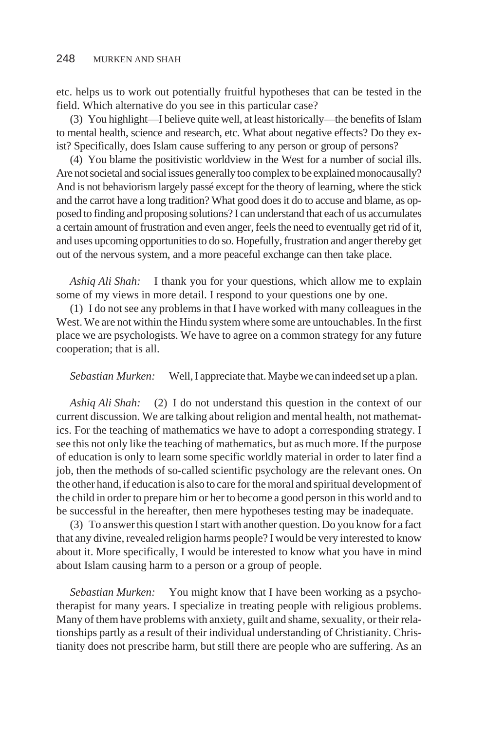etc. helps us to work out potentially fruitful hypotheses that can be tested in the field. Which alternative do you see in this particular case?

(3) You highlight—I believe quite well, at least historically—the benefits of Islam to mental health, science and research, etc. What about negative effects? Do they exist? Specifically, does Islam cause suffering to any person or group of persons?

(4) You blame the positivistic worldview in the West for a number of social ills. Are not societal and social issues generally too complex to be explained monocausally? And is not behaviorism largely passé except for the theory of learning, where the stick and the carrot have a long tradition? What good does it do to accuse and blame, as opposed to finding and proposing solutions? I can understand that each of us accumulates a certain amount of frustration and even anger, feels the need to eventually get rid of it, and uses upcoming opportunities to do so. Hopefully, frustration and anger thereby get out of the nervous system, and a more peaceful exchange can then take place.

*Ashiq Ali Shah:* I thank you for your questions, which allow me to explain some of my views in more detail. I respond to your questions one by one.

(1) I do not see any problems in that I have worked with many colleagues in the West. We are not within the Hindu system where some are untouchables. In the first place we are psychologists. We have to agree on a common strategy for any future cooperation; that is all.

*Sebastian Murken:* Well, I appreciate that. Maybe we can indeed set up a plan.

*Ashiq Ali Shah:* (2) I do not understand this question in the context of our current discussion. We are talking about religion and mental health, not mathematics. For the teaching of mathematics we have to adopt a corresponding strategy. I see this not only like the teaching of mathematics, but as much more. If the purpose of education is only to learn some specific worldly material in order to later find a job, then the methods of so-called scientific psychology are the relevant ones. On the other hand, if education is also to care for the moral and spiritual development of the child in order to prepare him or her to become a good person in this world and to be successful in the hereafter, then mere hypotheses testing may be inadequate.

(3) To answer this question I start with another question. Do you know for a fact that any divine, revealed religion harms people? I would be very interested to know about it. More specifically, I would be interested to know what you have in mind about Islam causing harm to a person or a group of people.

*Sebastian Murken:* You might know that I have been working as a psychotherapist for many years. I specialize in treating people with religious problems. Many of them have problems with anxiety, guilt and shame, sexuality, or their relationships partly as a result of their individual understanding of Christianity. Christianity does not prescribe harm, but still there are people who are suffering. As an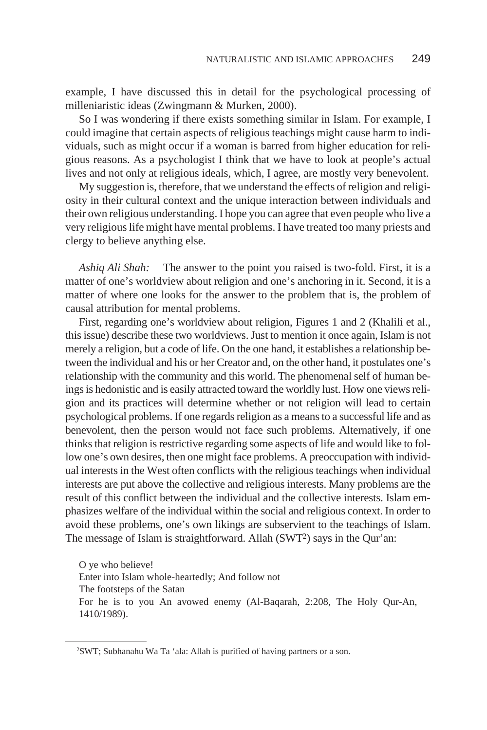example, I have discussed this in detail for the psychological processing of milleniaristic ideas (Zwingmann & Murken, 2000).

So I was wondering if there exists something similar in Islam. For example, I could imagine that certain aspects of religious teachings might cause harm to individuals, such as might occur if a woman is barred from higher education for religious reasons. As a psychologist I think that we have to look at people's actual lives and not only at religious ideals, which, I agree, are mostly very benevolent.

My suggestion is, therefore, that we understand the effects of religion and religiosity in their cultural context and the unique interaction between individuals and their own religious understanding. I hope you can agree that even people who live a very religious life might have mental problems. I have treated too many priests and clergy to believe anything else.

*Ashiq Ali Shah:* The answer to the point you raised is two-fold. First, it is a matter of one's worldview about religion and one's anchoring in it. Second, it is a matter of where one looks for the answer to the problem that is, the problem of causal attribution for mental problems.

First, regarding one's worldview about religion, Figures 1 and 2 (Khalili et al., this issue) describe these two worldviews. Just to mention it once again, Islam is not merely a religion, but a code of life. On the one hand, it establishes a relationship between the individual and his or her Creator and, on the other hand, it postulates one's relationship with the community and this world. The phenomenal self of human beings is hedonistic and is easily attracted toward the worldly lust. How one views religion and its practices will determine whether or not religion will lead to certain psychological problems. If one regards religion as a means to a successful life and as benevolent, then the person would not face such problems. Alternatively, if one thinks that religion is restrictive regarding some aspects of life and would like to follow one's own desires, then one might face problems. A preoccupation with individual interests in the West often conflicts with the religious teachings when individual interests are put above the collective and religious interests. Many problems are the result of this conflict between the individual and the collective interests. Islam emphasizes welfare of the individual within the social and religious context. In order to avoid these problems, one's own likings are subservient to the teachings of Islam. The message of Islam is straightforward. Allah (SWT2) says in the Qur'an:

O ye who believe! Enter into Islam whole-heartedly; And follow not The footsteps of the Satan For he is to you An avowed enemy (Al-Baqarah, 2:208, The Holy Qur-An, 1410/1989).

<sup>2</sup>SWT; Subhanahu Wa Ta 'ala: Allah is purified of having partners or a son.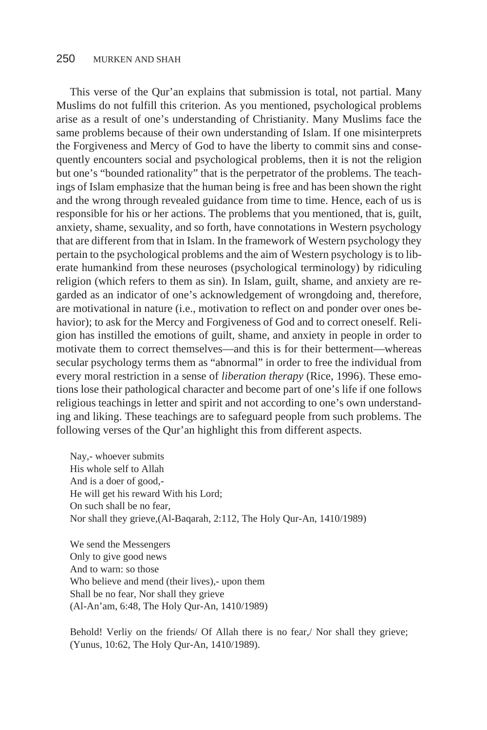#### 250 MURKEN AND SHAH

This verse of the Qur'an explains that submission is total, not partial. Many Muslims do not fulfill this criterion. As you mentioned, psychological problems arise as a result of one's understanding of Christianity. Many Muslims face the same problems because of their own understanding of Islam. If one misinterprets the Forgiveness and Mercy of God to have the liberty to commit sins and consequently encounters social and psychological problems, then it is not the religion but one's "bounded rationality" that is the perpetrator of the problems. The teachings of Islam emphasize that the human being is free and has been shown the right and the wrong through revealed guidance from time to time. Hence, each of us is responsible for his or her actions. The problems that you mentioned, that is, guilt, anxiety, shame, sexuality, and so forth, have connotations in Western psychology that are different from that in Islam. In the framework of Western psychology they pertain to the psychological problems and the aim of Western psychology is to liberate humankind from these neuroses (psychological terminology) by ridiculing religion (which refers to them as sin). In Islam, guilt, shame, and anxiety are regarded as an indicator of one's acknowledgement of wrongdoing and, therefore, are motivational in nature (i.e., motivation to reflect on and ponder over ones behavior); to ask for the Mercy and Forgiveness of God and to correct oneself. Religion has instilled the emotions of guilt, shame, and anxiety in people in order to motivate them to correct themselves—and this is for their betterment—whereas secular psychology terms them as "abnormal" in order to free the individual from every moral restriction in a sense of *liberation therapy* (Rice, 1996). These emotions lose their pathological character and become part of one's life if one follows religious teachings in letter and spirit and not according to one's own understanding and liking. These teachings are to safeguard people from such problems. The following verses of the Qur'an highlight this from different aspects.

Nay,- whoever submits His whole self to Allah And is a doer of good,- He will get his reward With his Lord; On such shall be no fear, Nor shall they grieve,(Al-Baqarah, 2:112, The Holy Qur-An, 1410/1989)

We send the Messengers Only to give good news And to warn: so those Who believe and mend (their lives),- upon them Shall be no fear, Nor shall they grieve (Al-An'am, 6:48, The Holy Qur-An, 1410/1989)

Behold! Verliy on the friends/ Of Allah there is no fear,/ Nor shall they grieve; (Yunus, 10:62, The Holy Qur-An, 1410/1989).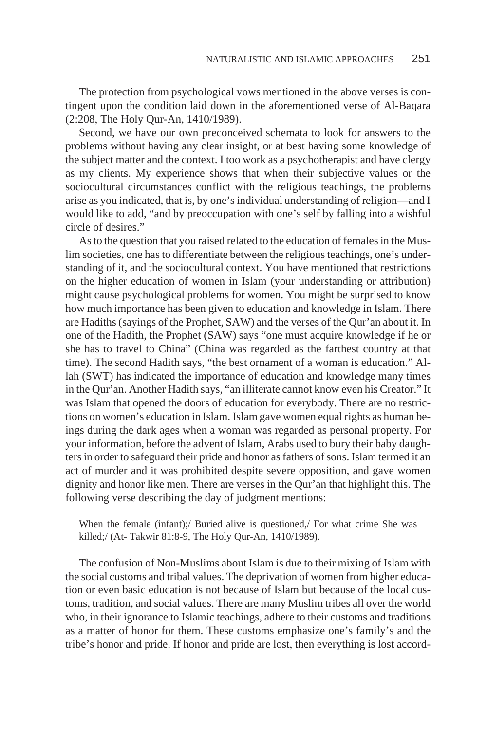The protection from psychological vows mentioned in the above verses is contingent upon the condition laid down in the aforementioned verse of Al-Baqara (2:208, The Holy Qur-An, 1410/1989).

Second, we have our own preconceived schemata to look for answers to the problems without having any clear insight, or at best having some knowledge of the subject matter and the context. I too work as a psychotherapist and have clergy as my clients. My experience shows that when their subjective values or the sociocultural circumstances conflict with the religious teachings, the problems arise as you indicated, that is, by one's individual understanding of religion—and I would like to add, "and by preoccupation with one's self by falling into a wishful circle of desires."

As to the question that you raised related to the education of females in the Muslim societies, one has to differentiate between the religious teachings, one's understanding of it, and the sociocultural context. You have mentioned that restrictions on the higher education of women in Islam (your understanding or attribution) might cause psychological problems for women. You might be surprised to know how much importance has been given to education and knowledge in Islam. There are Hadiths (sayings of the Prophet, SAW) and the verses of the Qur'an about it. In one of the Hadith, the Prophet (SAW) says "one must acquire knowledge if he or she has to travel to China" (China was regarded as the farthest country at that time). The second Hadith says, "the best ornament of a woman is education." Allah (SWT) has indicated the importance of education and knowledge many times in the Qur'an. Another Hadith says, "an illiterate cannot know even his Creator." It was Islam that opened the doors of education for everybody. There are no restrictions on women's education in Islam. Islam gave women equal rights as human beings during the dark ages when a woman was regarded as personal property. For your information, before the advent of Islam, Arabs used to bury their baby daughters in order to safeguard their pride and honor as fathers of sons. Islam termed it an act of murder and it was prohibited despite severe opposition, and gave women dignity and honor like men. There are verses in the Qur'an that highlight this. The following verse describing the day of judgment mentions:

When the female (infant);/ Buried alive is questioned,/ For what crime She was killed;/ (At- Takwir 81:8-9, The Holy Qur-An, 1410/1989).

The confusion of Non-Muslims about Islam is due to their mixing of Islam with the social customs and tribal values. The deprivation of women from higher education or even basic education is not because of Islam but because of the local customs, tradition, and social values. There are many Muslim tribes all over the world who, in their ignorance to Islamic teachings, adhere to their customs and traditions as a matter of honor for them. These customs emphasize one's family's and the tribe's honor and pride. If honor and pride are lost, then everything is lost accord-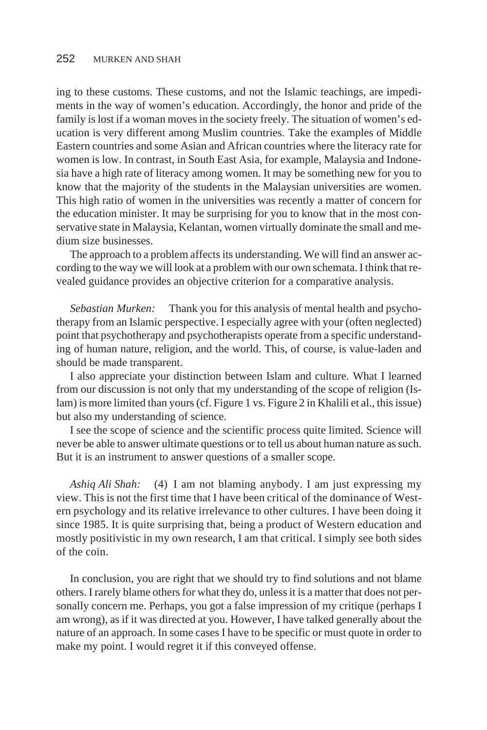#### 252 MURKEN AND SHAH

ing to these customs. These customs, and not the Islamic teachings, are impediments in the way of women's education. Accordingly, the honor and pride of the family is lost if a woman moves in the society freely. The situation of women's education is very different among Muslim countries. Take the examples of Middle Eastern countries and some Asian and African countries where the literacy rate for women is low. In contrast, in South East Asia, for example, Malaysia and Indonesia have a high rate of literacy among women. It may be something new for you to know that the majority of the students in the Malaysian universities are women. This high ratio of women in the universities was recently a matter of concern for the education minister. It may be surprising for you to know that in the most conservative state in Malaysia, Kelantan, women virtually dominate the small and medium size businesses.

The approach to a problem affects its understanding. We will find an answer according to the way we will look at a problem with our own schemata. I think that revealed guidance provides an objective criterion for a comparative analysis.

*Sebastian Murken:* Thank you for this analysis of mental health and psychotherapy from an Islamic perspective. I especially agree with your (often neglected) point that psychotherapy and psychotherapists operate from a specific understanding of human nature, religion, and the world. This, of course, is value-laden and should be made transparent.

I also appreciate your distinction between Islam and culture. What I learned from our discussion is not only that my understanding of the scope of religion (Islam) is more limited than yours (cf. Figure 1 vs. Figure 2 in Khalili et al., this issue) but also my understanding of science.

I see the scope of science and the scientific process quite limited. Science will never be able to answer ultimate questions or to tell us about human nature as such. But it is an instrument to answer questions of a smaller scope.

*Ashiq Ali Shah:* (4) I am not blaming anybody. I am just expressing my view. This is not the first time that I have been critical of the dominance of Western psychology and its relative irrelevance to other cultures. I have been doing it since 1985. It is quite surprising that, being a product of Western education and mostly positivistic in my own research, I am that critical. I simply see both sides of the coin.

In conclusion, you are right that we should try to find solutions and not blame others. I rarely blame others for what they do, unless it is a matter that does not personally concern me. Perhaps, you got a false impression of my critique (perhaps I am wrong), as if it was directed at you. However, I have talked generally about the nature of an approach. In some cases I have to be specific or must quote in order to make my point. I would regret it if this conveyed offense.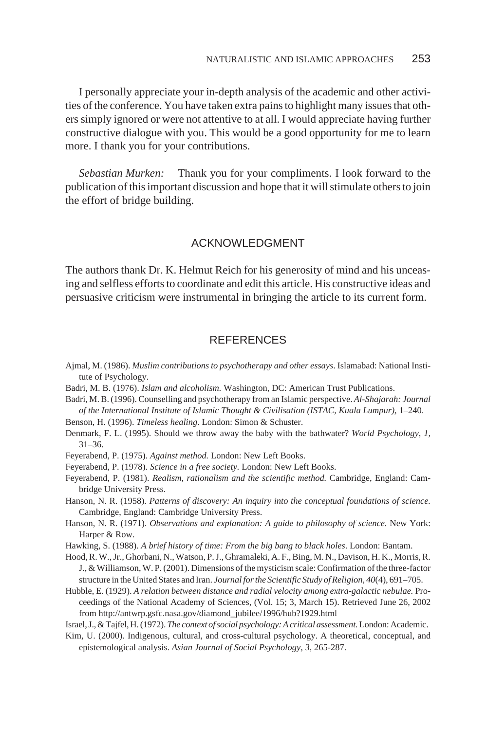I personally appreciate your in-depth analysis of the academic and other activities of the conference. You have taken extra pains to highlight many issues that others simply ignored or were not attentive to at all. I would appreciate having further constructive dialogue with you. This would be a good opportunity for me to learn more. I thank you for your contributions.

*Sebastian Murken:* Thank you for your compliments. I look forward to the publication of this important discussion and hope that it will stimulate others to join the effort of bridge building.

# ACKNOWLEDGMENT

The authors thank Dr. K. Helmut Reich for his generosity of mind and his unceasing and selfless efforts to coordinate and edit this article. His constructive ideas and persuasive criticism were instrumental in bringing the article to its current form.

# **REFERENCES**

- Ajmal, M. (1986). *Muslim contributions to psychotherapy and other essays*. Islamabad: National Institute of Psychology.
- Badri, M. B. (1976). *Islam and alcoholism.* Washington, DC: American Trust Publications.
- Badri, M. B. (1996). Counselling and psychotherapy from an Islamic perspective. *Al-Shajarah: Journal of the International Institute of Islamic Thought & Civilisation (ISTAC, Kuala Lumpur),* 1–240.

Benson, H. (1996). *Timeless healing*. London: Simon & Schuster.

- Denmark, F. L. (1995). Should we throw away the baby with the bathwater? *World Psychology*, *1,* 31–36.
- Feyerabend, P. (1975). *Against method.* London: New Left Books.
- Feyerabend, P. (1978). *Science in a free society.* London: New Left Books.
- Feyerabend, P. (1981). *Realism, rationalism and the scientific method.* Cambridge, England: Cambridge University Press.
- Hanson, N. R. (1958). *Patterns of discovery: An inquiry into the conceptual foundations of science.* Cambridge, England: Cambridge University Press.
- Hanson, N. R. (1971). *Observations and explanation: A guide to philosophy of science.* New York: Harper & Row.
- Hawking, S. (1988). *A brief history of time: From the big bang to black holes*. London: Bantam.
- Hood, R. W., Jr., Ghorbani, N., Watson, P. J., Ghramaleki, A. F., Bing, M. N., Davison, H. K., Morris, R. J., & Williamson, W. P. (2001). Dimensions of the mysticism scale: Confirmation of the three-factor structure in the United States and Iran. *Journal for the Scientific Study of Religion, 40*(4), 691–705.
- Hubble, E. (1929). *A relation between distance and radial velocity among extra-galactic nebulae.* Proceedings of the National Academy of Sciences, (Vol. 15; 3, March 15). Retrieved June 26, 2002 from http://antwrp.gsfc.nasa.gov/diamond\_jubilee/1996/hub?1929.html

Israel, J., & Tajfel, H. (1972). *The context of social psychology: A critical assessment.*London: Academic.

Kim, U. (2000). Indigenous, cultural, and cross-cultural psychology. A theoretical, conceptual, and epistemological analysis. *Asian Journal of Social Psychology, 3,* 265-287.